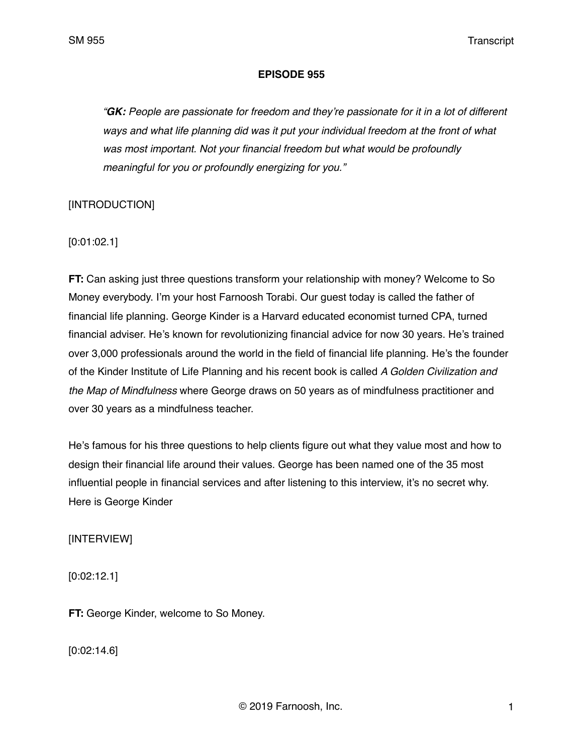SM 955 Transcript

#### **EPISODE 955**

*"GK: People are passionate for freedom and they're passionate for it in a lot of different ways and what life planning did was it put your individual freedom at the front of what was most important. Not your financial freedom but what would be profoundly meaningful for you or profoundly energizing for you."*

# [INTRODUCTION]

[0:01:02.1]

**FT:** Can asking just three questions transform your relationship with money? Welcome to So Money everybody. I'm your host Farnoosh Torabi. Our guest today is called the father of financial life planning. George Kinder is a Harvard educated economist turned CPA, turned financial adviser. He's known for revolutionizing financial advice for now 30 years. He's trained over 3,000 professionals around the world in the field of financial life planning. He's the founder of the Kinder Institute of Life Planning and his recent book is called *A Golden Civilization and the Map of Mindfulness* where George draws on 50 years as of mindfulness practitioner and over 30 years as a mindfulness teacher.

He's famous for his three questions to help clients figure out what they value most and how to design their financial life around their values. George has been named one of the 35 most influential people in financial services and after listening to this interview, it's no secret why. Here is George Kinder

[INTERVIEW]

[0:02:12.1]

**FT:** George Kinder, welcome to So Money.

[0:02:14.6]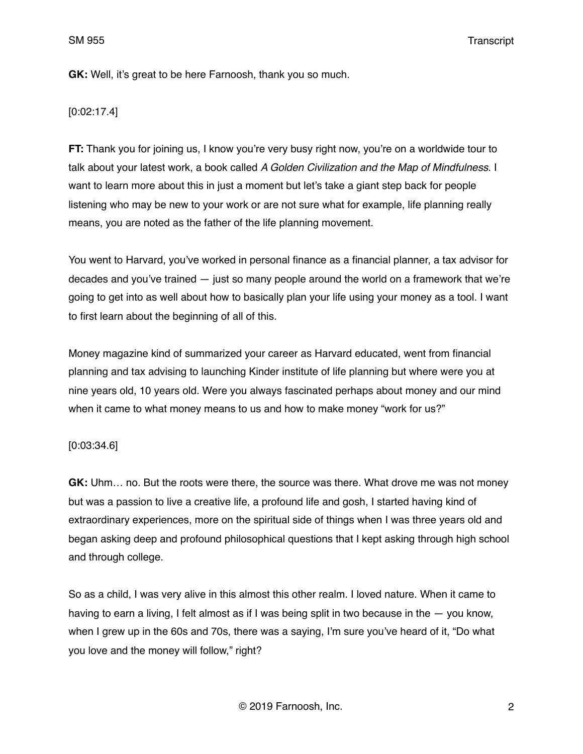SM 955 Transcript

**GK:** Well, it's great to be here Farnoosh, thank you so much.

[0:02:17.4]

**FT:** Thank you for joining us, I know you're very busy right now, you're on a worldwide tour to talk about your latest work, a book called *A Golden Civilization and the Map of Mindfulness*. I want to learn more about this in just a moment but let's take a giant step back for people listening who may be new to your work or are not sure what for example, life planning really means, you are noted as the father of the life planning movement.

You went to Harvard, you've worked in personal finance as a financial planner, a tax advisor for decades and you've trained — just so many people around the world on a framework that we're going to get into as well about how to basically plan your life using your money as a tool. I want to first learn about the beginning of all of this.

Money magazine kind of summarized your career as Harvard educated, went from financial planning and tax advising to launching Kinder institute of life planning but where were you at nine years old, 10 years old. Were you always fascinated perhaps about money and our mind when it came to what money means to us and how to make money "work for us?"

### [0:03:34.6]

**GK:** Uhm… no. But the roots were there, the source was there. What drove me was not money but was a passion to live a creative life, a profound life and gosh, I started having kind of extraordinary experiences, more on the spiritual side of things when I was three years old and began asking deep and profound philosophical questions that I kept asking through high school and through college.

So as a child, I was very alive in this almost this other realm. I loved nature. When it came to having to earn a living, I felt almost as if I was being split in two because in the — you know, when I grew up in the 60s and 70s, there was a saying, I'm sure you've heard of it, "Do what you love and the money will follow," right?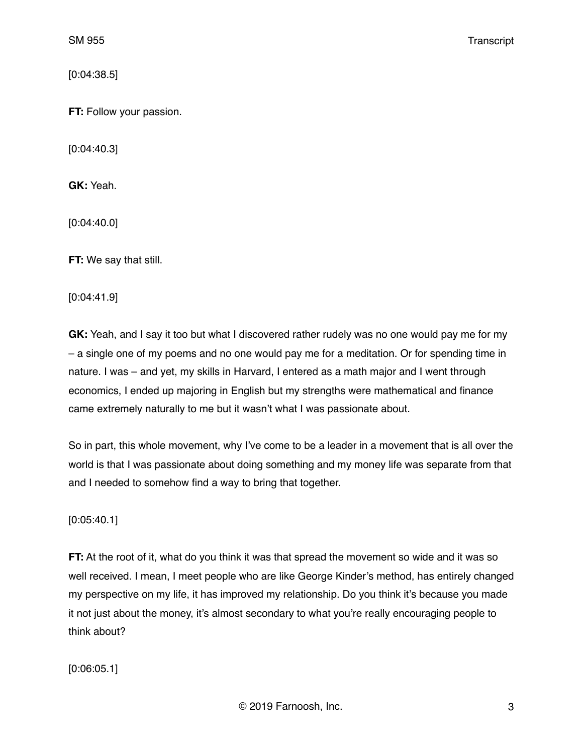[0:04:38.5]

**FT:** Follow your passion.

[0:04:40.3]

**GK:** Yeah.

[0:04:40.0]

**FT:** We say that still.

[0:04:41.9]

**GK:** Yeah, and I say it too but what I discovered rather rudely was no one would pay me for my – a single one of my poems and no one would pay me for a meditation. Or for spending time in nature. I was – and yet, my skills in Harvard, I entered as a math major and I went through economics, I ended up majoring in English but my strengths were mathematical and finance came extremely naturally to me but it wasn't what I was passionate about.

So in part, this whole movement, why I've come to be a leader in a movement that is all over the world is that I was passionate about doing something and my money life was separate from that and I needed to somehow find a way to bring that together.

[0:05:40.1]

**FT:** At the root of it, what do you think it was that spread the movement so wide and it was so well received. I mean, I meet people who are like George Kinder's method, has entirely changed my perspective on my life, it has improved my relationship. Do you think it's because you made it not just about the money, it's almost secondary to what you're really encouraging people to think about?

[0:06:05.1]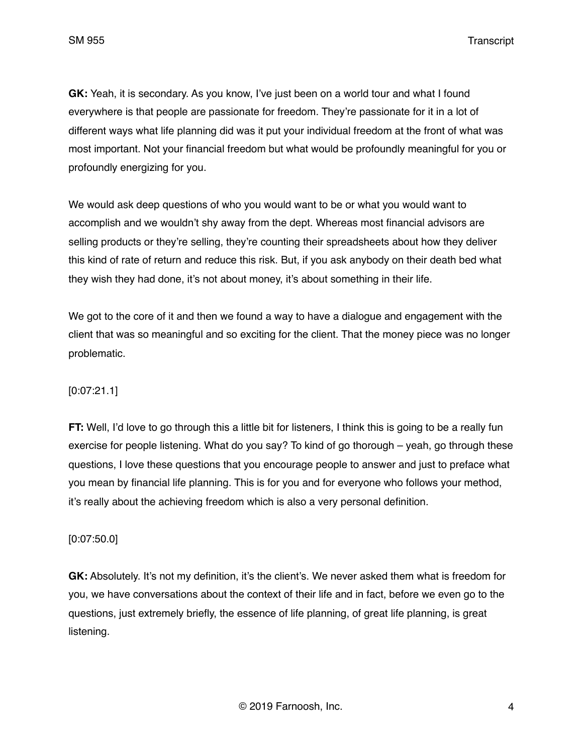SM 955 Transcript

**GK:** Yeah, it is secondary. As you know, I've just been on a world tour and what I found everywhere is that people are passionate for freedom. They're passionate for it in a lot of different ways what life planning did was it put your individual freedom at the front of what was most important. Not your financial freedom but what would be profoundly meaningful for you or profoundly energizing for you.

We would ask deep questions of who you would want to be or what you would want to accomplish and we wouldn't shy away from the dept. Whereas most financial advisors are selling products or they're selling, they're counting their spreadsheets about how they deliver this kind of rate of return and reduce this risk. But, if you ask anybody on their death bed what they wish they had done, it's not about money, it's about something in their life.

We got to the core of it and then we found a way to have a dialogue and engagement with the client that was so meaningful and so exciting for the client. That the money piece was no longer problematic.

# [0:07:21.1]

**FT:** Well, I'd love to go through this a little bit for listeners, I think this is going to be a really fun exercise for people listening. What do you say? To kind of go thorough – yeah, go through these questions, I love these questions that you encourage people to answer and just to preface what you mean by financial life planning. This is for you and for everyone who follows your method, it's really about the achieving freedom which is also a very personal definition.

### [0:07:50.0]

**GK:** Absolutely. It's not my definition, it's the client's. We never asked them what is freedom for you, we have conversations about the context of their life and in fact, before we even go to the questions, just extremely briefly, the essence of life planning, of great life planning, is great listening.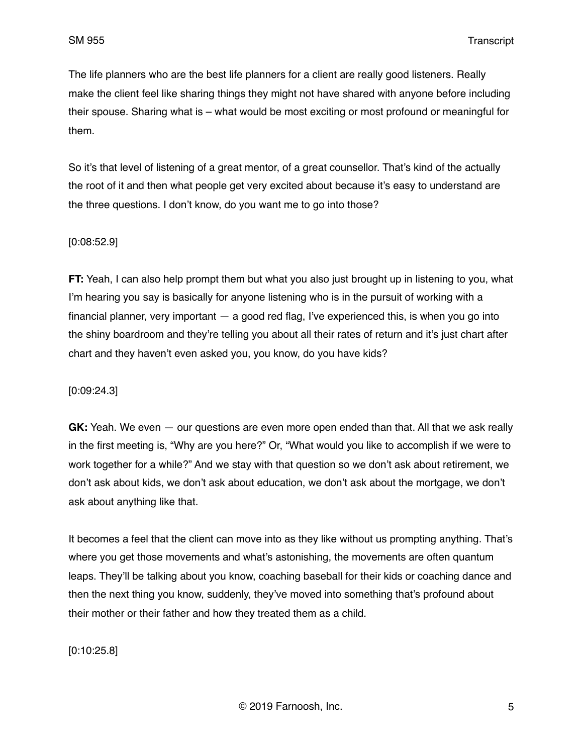The life planners who are the best life planners for a client are really good listeners. Really make the client feel like sharing things they might not have shared with anyone before including their spouse. Sharing what is – what would be most exciting or most profound or meaningful for them.

So it's that level of listening of a great mentor, of a great counsellor. That's kind of the actually the root of it and then what people get very excited about because it's easy to understand are the three questions. I don't know, do you want me to go into those?

### [0:08:52.9]

**FT:** Yeah, I can also help prompt them but what you also just brought up in listening to you, what I'm hearing you say is basically for anyone listening who is in the pursuit of working with a financial planner, very important — a good red flag, I've experienced this, is when you go into the shiny boardroom and they're telling you about all their rates of return and it's just chart after chart and they haven't even asked you, you know, do you have kids?

### [0:09:24.3]

**GK:** Yeah. We even — our questions are even more open ended than that. All that we ask really in the first meeting is, "Why are you here?" Or, "What would you like to accomplish if we were to work together for a while?" And we stay with that question so we don't ask about retirement, we don't ask about kids, we don't ask about education, we don't ask about the mortgage, we don't ask about anything like that.

It becomes a feel that the client can move into as they like without us prompting anything. That's where you get those movements and what's astonishing, the movements are often quantum leaps. They'll be talking about you know, coaching baseball for their kids or coaching dance and then the next thing you know, suddenly, they've moved into something that's profound about their mother or their father and how they treated them as a child.

[0:10:25.8]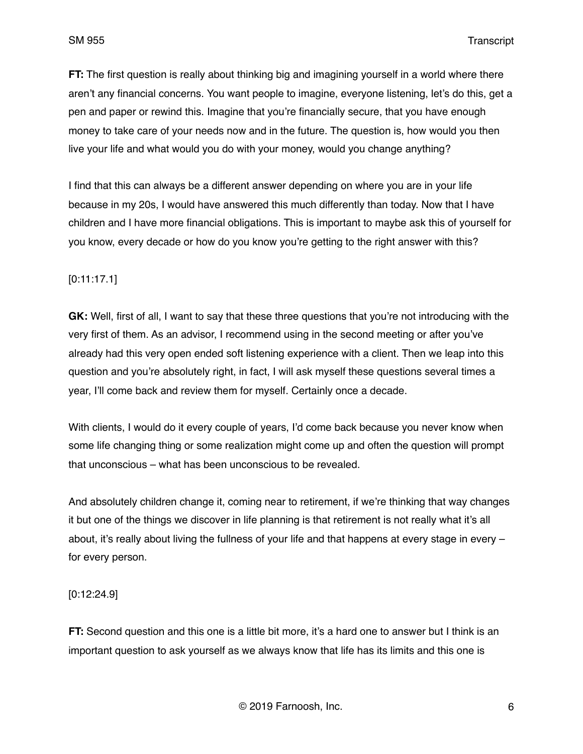**FT:** The first question is really about thinking big and imagining yourself in a world where there aren't any financial concerns. You want people to imagine, everyone listening, let's do this, get a pen and paper or rewind this. Imagine that you're financially secure, that you have enough money to take care of your needs now and in the future. The question is, how would you then live your life and what would you do with your money, would you change anything?

I find that this can always be a different answer depending on where you are in your life because in my 20s, I would have answered this much differently than today. Now that I have children and I have more financial obligations. This is important to maybe ask this of yourself for you know, every decade or how do you know you're getting to the right answer with this?

# [0:11:17.1]

**GK:** Well, first of all, I want to say that these three questions that you're not introducing with the very first of them. As an advisor, I recommend using in the second meeting or after you've already had this very open ended soft listening experience with a client. Then we leap into this question and you're absolutely right, in fact, I will ask myself these questions several times a year, I'll come back and review them for myself. Certainly once a decade.

With clients, I would do it every couple of years, I'd come back because you never know when some life changing thing or some realization might come up and often the question will prompt that unconscious – what has been unconscious to be revealed.

And absolutely children change it, coming near to retirement, if we're thinking that way changes it but one of the things we discover in life planning is that retirement is not really what it's all about, it's really about living the fullness of your life and that happens at every stage in every – for every person.

### [0:12:24.9]

**FT:** Second question and this one is a little bit more, it's a hard one to answer but I think is an important question to ask yourself as we always know that life has its limits and this one is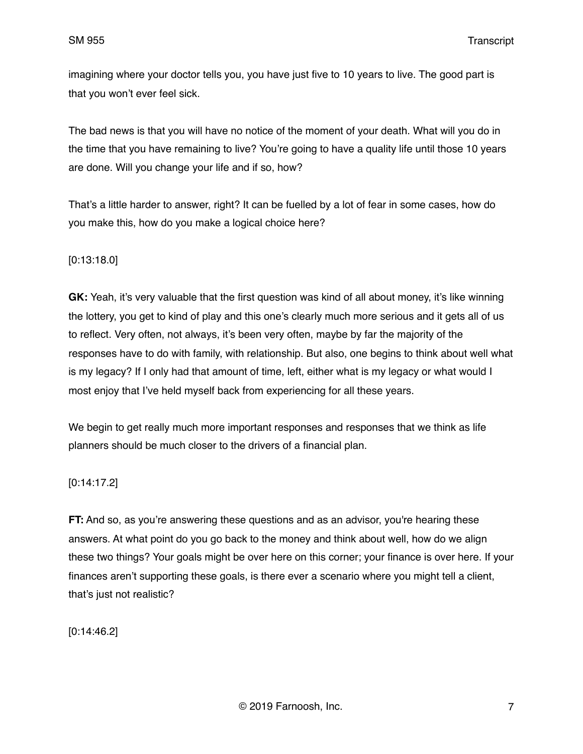imagining where your doctor tells you, you have just five to 10 years to live. The good part is that you won't ever feel sick.

The bad news is that you will have no notice of the moment of your death. What will you do in the time that you have remaining to live? You're going to have a quality life until those 10 years are done. Will you change your life and if so, how?

That's a little harder to answer, right? It can be fuelled by a lot of fear in some cases, how do you make this, how do you make a logical choice here?

[0:13:18.0]

**GK:** Yeah, it's very valuable that the first question was kind of all about money, it's like winning the lottery, you get to kind of play and this one's clearly much more serious and it gets all of us to reflect. Very often, not always, it's been very often, maybe by far the majority of the responses have to do with family, with relationship. But also, one begins to think about well what is my legacy? If I only had that amount of time, left, either what is my legacy or what would I most enjoy that I've held myself back from experiencing for all these years.

We begin to get really much more important responses and responses that we think as life planners should be much closer to the drivers of a financial plan.

[0:14:17.2]

**FT:** And so, as you're answering these questions and as an advisor, you're hearing these answers. At what point do you go back to the money and think about well, how do we align these two things? Your goals might be over here on this corner; your finance is over here. If your finances aren't supporting these goals, is there ever a scenario where you might tell a client, that's just not realistic?

[0:14:46.2]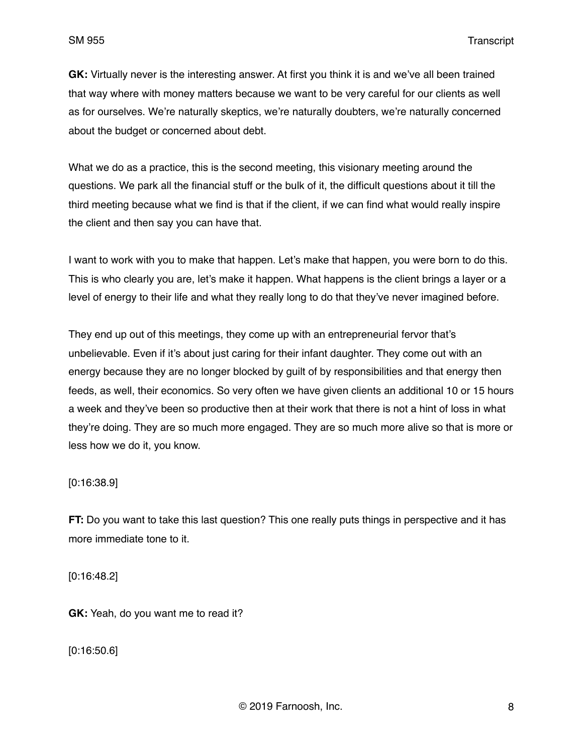**GK:** Virtually never is the interesting answer. At first you think it is and we've all been trained that way where with money matters because we want to be very careful for our clients as well as for ourselves. We're naturally skeptics, we're naturally doubters, we're naturally concerned about the budget or concerned about debt.

What we do as a practice, this is the second meeting, this visionary meeting around the questions. We park all the financial stuff or the bulk of it, the difficult questions about it till the third meeting because what we find is that if the client, if we can find what would really inspire the client and then say you can have that.

I want to work with you to make that happen. Let's make that happen, you were born to do this. This is who clearly you are, let's make it happen. What happens is the client brings a layer or a level of energy to their life and what they really long to do that they've never imagined before.

They end up out of this meetings, they come up with an entrepreneurial fervor that's unbelievable. Even if it's about just caring for their infant daughter. They come out with an energy because they are no longer blocked by guilt of by responsibilities and that energy then feeds, as well, their economics. So very often we have given clients an additional 10 or 15 hours a week and they've been so productive then at their work that there is not a hint of loss in what they're doing. They are so much more engaged. They are so much more alive so that is more or less how we do it, you know.

[0:16:38.9]

**FT:** Do you want to take this last question? This one really puts things in perspective and it has more immediate tone to it.

[0:16:48.2]

**GK:** Yeah, do you want me to read it?

[0:16:50.6]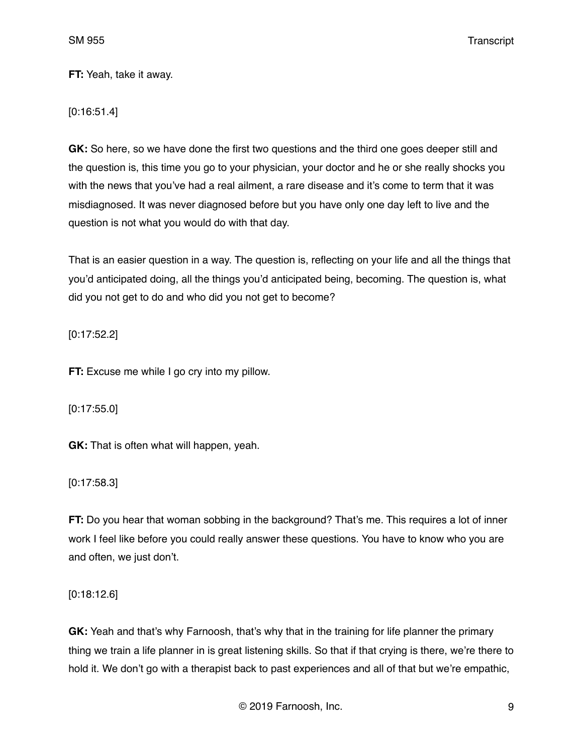**FT:** Yeah, take it away.

[0:16:51.4]

**GK:** So here, so we have done the first two questions and the third one goes deeper still and the question is, this time you go to your physician, your doctor and he or she really shocks you with the news that you've had a real ailment, a rare disease and it's come to term that it was misdiagnosed. It was never diagnosed before but you have only one day left to live and the question is not what you would do with that day.

That is an easier question in a way. The question is, reflecting on your life and all the things that you'd anticipated doing, all the things you'd anticipated being, becoming. The question is, what did you not get to do and who did you not get to become?

[0:17:52.2]

**FT:** Excuse me while I go cry into my pillow.

[0:17:55.0]

**GK:** That is often what will happen, yeah.

[0:17:58.3]

**FT:** Do you hear that woman sobbing in the background? That's me. This requires a lot of inner work I feel like before you could really answer these questions. You have to know who you are and often, we just don't.

[0:18:12.6]

**GK:** Yeah and that's why Farnoosh, that's why that in the training for life planner the primary thing we train a life planner in is great listening skills. So that if that crying is there, we're there to hold it. We don't go with a therapist back to past experiences and all of that but we're empathic,

© 2019 Farnoosh, Inc. 9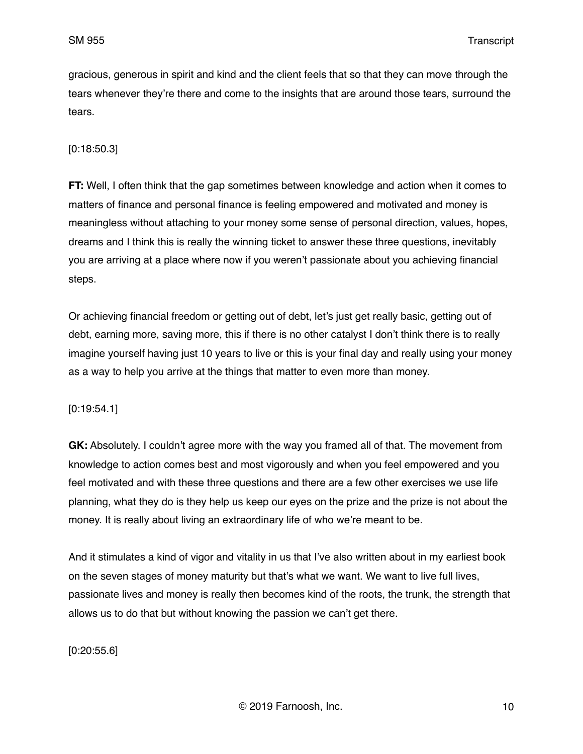gracious, generous in spirit and kind and the client feels that so that they can move through the tears whenever they're there and come to the insights that are around those tears, surround the tears.

### [0:18:50.3]

**FT:** Well, I often think that the gap sometimes between knowledge and action when it comes to matters of finance and personal finance is feeling empowered and motivated and money is meaningless without attaching to your money some sense of personal direction, values, hopes, dreams and I think this is really the winning ticket to answer these three questions, inevitably you are arriving at a place where now if you weren't passionate about you achieving financial steps.

Or achieving financial freedom or getting out of debt, let's just get really basic, getting out of debt, earning more, saving more, this if there is no other catalyst I don't think there is to really imagine yourself having just 10 years to live or this is your final day and really using your money as a way to help you arrive at the things that matter to even more than money.

#### [0:19:54.1]

**GK:** Absolutely. I couldn't agree more with the way you framed all of that. The movement from knowledge to action comes best and most vigorously and when you feel empowered and you feel motivated and with these three questions and there are a few other exercises we use life planning, what they do is they help us keep our eyes on the prize and the prize is not about the money. It is really about living an extraordinary life of who we're meant to be.

And it stimulates a kind of vigor and vitality in us that I've also written about in my earliest book on the seven stages of money maturity but that's what we want. We want to live full lives, passionate lives and money is really then becomes kind of the roots, the trunk, the strength that allows us to do that but without knowing the passion we can't get there.

[0:20:55.6]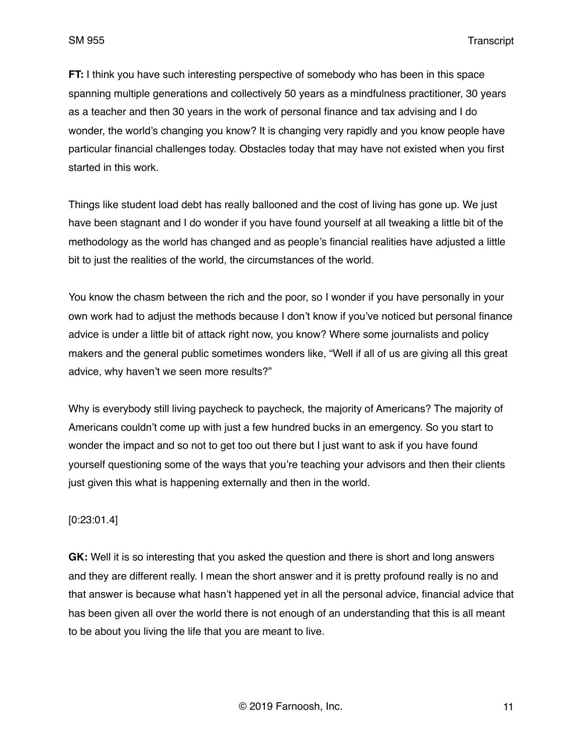**FT:** I think you have such interesting perspective of somebody who has been in this space spanning multiple generations and collectively 50 years as a mindfulness practitioner, 30 years as a teacher and then 30 years in the work of personal finance and tax advising and I do wonder, the world's changing you know? It is changing very rapidly and you know people have particular financial challenges today. Obstacles today that may have not existed when you first started in this work.

Things like student load debt has really ballooned and the cost of living has gone up. We just have been stagnant and I do wonder if you have found yourself at all tweaking a little bit of the methodology as the world has changed and as people's financial realities have adjusted a little bit to just the realities of the world, the circumstances of the world.

You know the chasm between the rich and the poor, so I wonder if you have personally in your own work had to adjust the methods because I don't know if you've noticed but personal finance advice is under a little bit of attack right now, you know? Where some journalists and policy makers and the general public sometimes wonders like, "Well if all of us are giving all this great advice, why haven't we seen more results?"

Why is everybody still living paycheck to paycheck, the majority of Americans? The majority of Americans couldn't come up with just a few hundred bucks in an emergency. So you start to wonder the impact and so not to get too out there but I just want to ask if you have found yourself questioning some of the ways that you're teaching your advisors and then their clients just given this what is happening externally and then in the world.

### [0:23:01.4]

**GK:** Well it is so interesting that you asked the question and there is short and long answers and they are different really. I mean the short answer and it is pretty profound really is no and that answer is because what hasn't happened yet in all the personal advice, financial advice that has been given all over the world there is not enough of an understanding that this is all meant to be about you living the life that you are meant to live.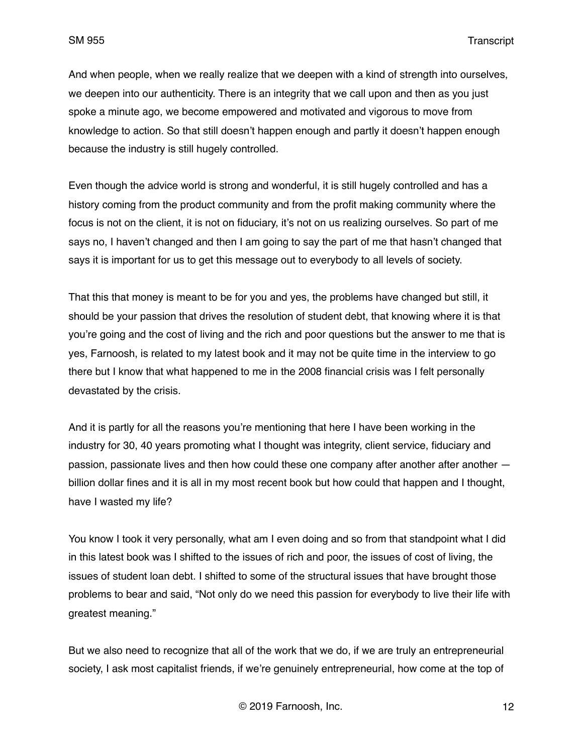And when people, when we really realize that we deepen with a kind of strength into ourselves, we deepen into our authenticity. There is an integrity that we call upon and then as you just spoke a minute ago, we become empowered and motivated and vigorous to move from knowledge to action. So that still doesn't happen enough and partly it doesn't happen enough because the industry is still hugely controlled.

Even though the advice world is strong and wonderful, it is still hugely controlled and has a history coming from the product community and from the profit making community where the focus is not on the client, it is not on fiduciary, it's not on us realizing ourselves. So part of me says no, I haven't changed and then I am going to say the part of me that hasn't changed that says it is important for us to get this message out to everybody to all levels of society.

That this that money is meant to be for you and yes, the problems have changed but still, it should be your passion that drives the resolution of student debt, that knowing where it is that you're going and the cost of living and the rich and poor questions but the answer to me that is yes, Farnoosh, is related to my latest book and it may not be quite time in the interview to go there but I know that what happened to me in the 2008 financial crisis was I felt personally devastated by the crisis.

And it is partly for all the reasons you're mentioning that here I have been working in the industry for 30, 40 years promoting what I thought was integrity, client service, fiduciary and passion, passionate lives and then how could these one company after another after another billion dollar fines and it is all in my most recent book but how could that happen and I thought, have I wasted my life?

You know I took it very personally, what am I even doing and so from that standpoint what I did in this latest book was I shifted to the issues of rich and poor, the issues of cost of living, the issues of student loan debt. I shifted to some of the structural issues that have brought those problems to bear and said, "Not only do we need this passion for everybody to live their life with greatest meaning."

But we also need to recognize that all of the work that we do, if we are truly an entrepreneurial society, I ask most capitalist friends, if we're genuinely entrepreneurial, how come at the top of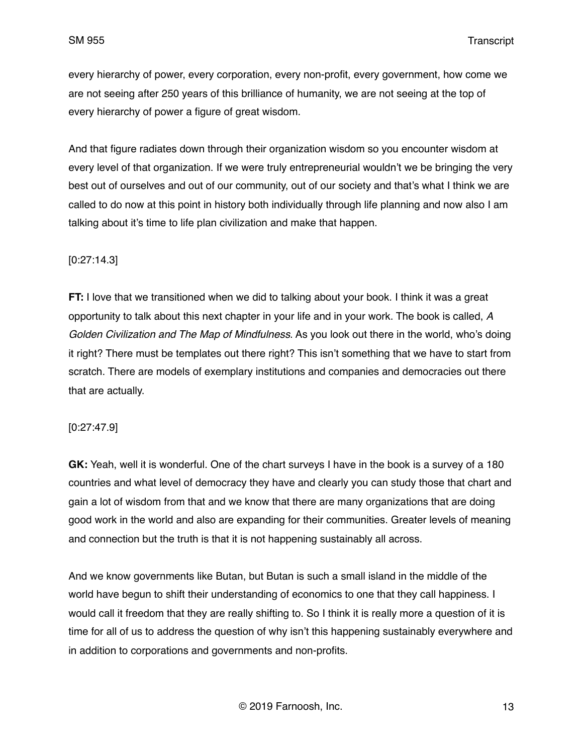every hierarchy of power, every corporation, every non-profit, every government, how come we are not seeing after 250 years of this brilliance of humanity, we are not seeing at the top of every hierarchy of power a figure of great wisdom.

And that figure radiates down through their organization wisdom so you encounter wisdom at every level of that organization. If we were truly entrepreneurial wouldn't we be bringing the very best out of ourselves and out of our community, out of our society and that's what I think we are called to do now at this point in history both individually through life planning and now also I am talking about it's time to life plan civilization and make that happen.

### [0:27:14.3]

**FT:** I love that we transitioned when we did to talking about your book. I think it was a great opportunity to talk about this next chapter in your life and in your work. The book is called, *A Golden Civilization and The Map of Mindfulness*. As you look out there in the world, who's doing it right? There must be templates out there right? This isn't something that we have to start from scratch. There are models of exemplary institutions and companies and democracies out there that are actually.

#### [0:27:47.9]

**GK:** Yeah, well it is wonderful. One of the chart surveys I have in the book is a survey of a 180 countries and what level of democracy they have and clearly you can study those that chart and gain a lot of wisdom from that and we know that there are many organizations that are doing good work in the world and also are expanding for their communities. Greater levels of meaning and connection but the truth is that it is not happening sustainably all across.

And we know governments like Butan, but Butan is such a small island in the middle of the world have begun to shift their understanding of economics to one that they call happiness. I would call it freedom that they are really shifting to. So I think it is really more a question of it is time for all of us to address the question of why isn't this happening sustainably everywhere and in addition to corporations and governments and non-profits.